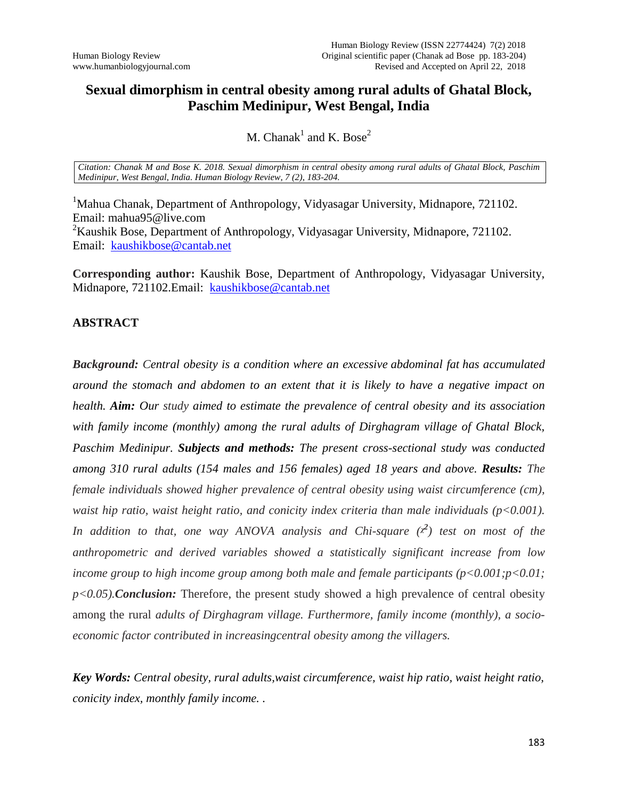## **Sexual dimorphism in central obesity among rural adults of Ghatal Block, Paschim Medinipur, West Bengal, India**

## M. Chanak<sup>1</sup> and K. Bose<sup>2</sup>

*Citation: Chanak M and Bose K. 2018. Sexual dimorphism in central obesity among rural adults of Ghatal Block, Paschim Medinipur, West Bengal, India. Human Biology Review, 7 (2), 183-204.*

<sup>1</sup>Mahua Chanak, Department of Anthropology, Vidyasagar University, Midnapore, 721102. Email: mahua95@live.com <sup>2</sup>Kaushik Bose, Department of Anthropology, Vidyasagar University, Midnapore, 721102. Email: [kaushikbose@cantab.net](mailto:kaushikbose@cantab.net)

**Corresponding author:** Kaushik Bose, Department of Anthropology, Vidyasagar University, Midnapore, 721102.Email: [kaushikbose@cantab.net](mailto:kaushikbose@cantab.net)

## **ABSTRACT**

*Background: Central obesity is a condition where an excessive [abdominal fat](https://en.wikipedia.org/wiki/Abdominal_fat) has accumulated around the stomach and abdomen to an extent that it is likely to have a negative impact on health. Aim: Our study aimed to estimate the prevalence of central obesity and its association with family income (monthly) among the rural adults of Dirghagram village of Ghatal Block, Paschim Medinipur. Subjects and methods: The present cross-sectional study was conducted among 310 rural adults (154 males and 156 females) aged 18 years and above. Results: The female individuals showed higher prevalence of central obesity using waist circumference (cm), waist hip ratio, waist height ratio, and conicity index criteria than male individuals (p<0.001).*  In addition to that, one way ANOVA analysis and Chi-square  $(x^2)$  test on most of the *anthropometric and derived variables showed a statistically significant increase from low income group to high income group among both male and female participants (p<0.001;p<0.01; p<0.05).Conclusion:* Therefore, the present study showed a high prevalence of central obesity among the rural *adults of Dirghagram village. Furthermore, family income (monthly), a socioeconomic factor contributed in increasingcentral obesity among the villagers.*

*Key Words: Central obesity, rural adults,waist circumference, waist hip ratio, waist height ratio, conicity index, monthly family income. .*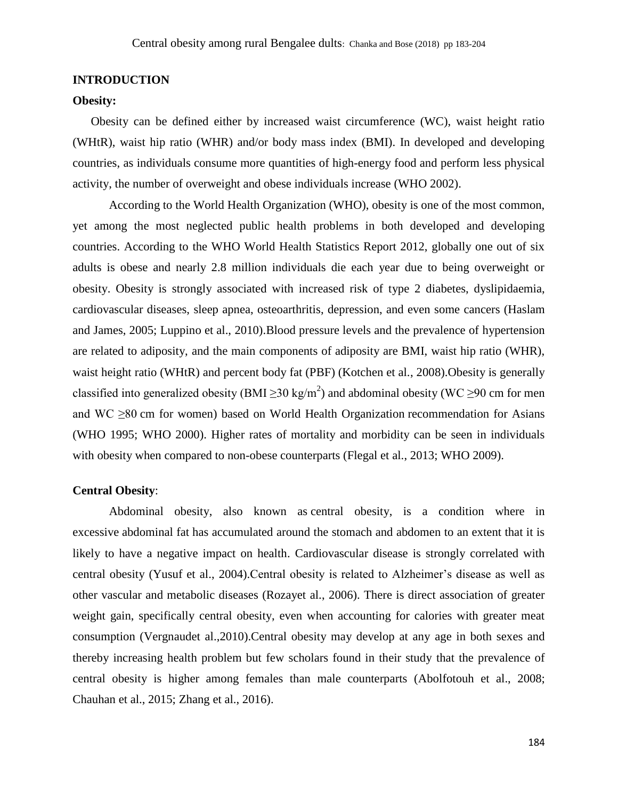#### **INTRODUCTION**

#### **Obesity:**

Obesity can be defined either by increased waist circumference (WC), waist height ratio (WHtR), waist hip ratio (WHR) and/or body mass index (BMI). In developed and developing countries, as individuals consume more quantities of high-energy food and perform less physical activity, the number of overweight and obese individuals increase (WHO 2002).

According to the World Health Organization (WHO), obesity is one of the most common, yet among the most neglected public health problems in both developed and developing countries. According to the WHO World Health Statistics Report 2012, globally one out of six adults is obese and nearly 2.8 million individuals die each year due to being overweight or obesity. Obesity is strongly associated with increased risk of type 2 diabetes, dyslipidaemia, cardiovascular diseases, sleep apnea, osteoarthritis, depression, and even some cancers (Haslam and James, 2005; Luppino et al., 2010).Blood pressure levels and the prevalence of hypertension are related to adiposity, and the main components of adiposity are BMI, waist hip ratio (WHR), waist height ratio (WHtR) and percent body fat (PBF) (Kotchen et al., 2008).Obesity is generally classified into generalized obesity (BMI  $\geq$ 30 kg/m<sup>2</sup>) and abdominal obesity (WC  $\geq$ 90 cm for men and WC ≥80 cm for women) based on World Health Organization recommendation for Asians (WHO 1995; WHO 2000). Higher rates of mortality and morbidity can be seen in individuals with obesity when compared to non-obese counterparts (Flegal et al., 2013; WHO 2009).

#### **Central Obesity**:

Abdominal obesity, also known as central obesity, is a condition where in excessive [abdominal fat](https://en.wikipedia.org/wiki/Abdominal_fat) has accumulated around the stomach and abdomen to an extent that it is likely to have a negative impact on health. Cardiovascular disease is strongly correlated with central obesity (Yusuf et al., 2004).Central obesity is related to Alzheimer's disease as well as other vascular and metabolic diseases (Rozayet al., 2006). There is direct association of greater weight gain, specifically central obesity, even when accounting for calories with greater meat consumption (Vergnaudet al.,2010).Central obesity may develop at any age in both sexes and thereby increasing health problem but few scholars found in their study that the prevalence of central obesity is higher among females than male counterparts (Abolfotouh et al., 2008; Chauhan et al., 2015; Zhang et al., 2016).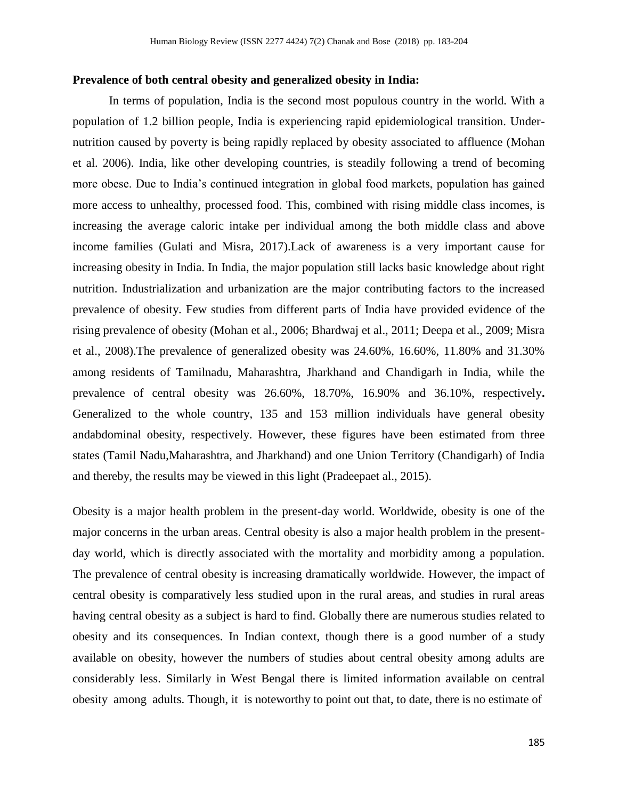#### **Prevalence of both central obesity and generalized obesity in India:**

In terms of population, India is the second most populous country in the world. With a population of 1.2 billion people, India is experiencing rapid epidemiological transition. Undernutrition caused by poverty is being rapidly replaced by obesity associated to affluence (Mohan et al. 2006). India, like other developing countries, is steadily following a trend of becoming more obese. Due to India's continued integration in global food markets, population has gained more access to unhealthy, processed food. This, combined with rising middle class incomes, is increasing the average caloric intake per individual among the both middle class and above income families (Gulati and Misra, 2017).Lack of awareness is a very important cause for increasing obesity in India. In India, the major population still lacks basic knowledge about right nutrition. Industrialization and urbanization are the major contributing factors to the increased prevalence of obesity. Few studies from different parts of India have provided evidence of the rising prevalence of obesity (Mohan et al., 2006; Bhardwaj et al., 2011; Deepa et al., 2009; Misra et al., 2008).The prevalence of generalized obesity was 24.60%, 16.60%, 11.80% and 31.30% among residents of Tamilnadu, Maharashtra, Jharkhand and Chandigarh in India, while the prevalence of central obesity was 26.60%, 18.70%, 16.90% and 36.10%, respectively**.**  Generalized to the whole country, 135 and 153 million individuals have general obesity andabdominal obesity, respectively. However, these figures have been estimated from three states (Tamil Nadu,Maharashtra, and Jharkhand) and one Union Territory (Chandigarh) of India and thereby, the results may be viewed in this light (Pradeepaet al., 2015).

Obesity is a major health problem in the present-day world. Worldwide, obesity is one of the major concerns in the urban areas. Central obesity is also a major health problem in the presentday world, which is directly associated with the mortality and morbidity among a population. The prevalence of central obesity is increasing dramatically worldwide. However, the impact of central obesity is comparatively less studied upon in the rural areas, and studies in rural areas having central obesity as a subject is hard to find. Globally there are numerous studies related to obesity and its consequences. In Indian context, though there is a good number of a study available on obesity, however the numbers of studies about central obesity among adults are considerably less. Similarly in West Bengal there is limited information available on central obesity among adults. Though, it is noteworthy to point out that, to date, there is no estimate of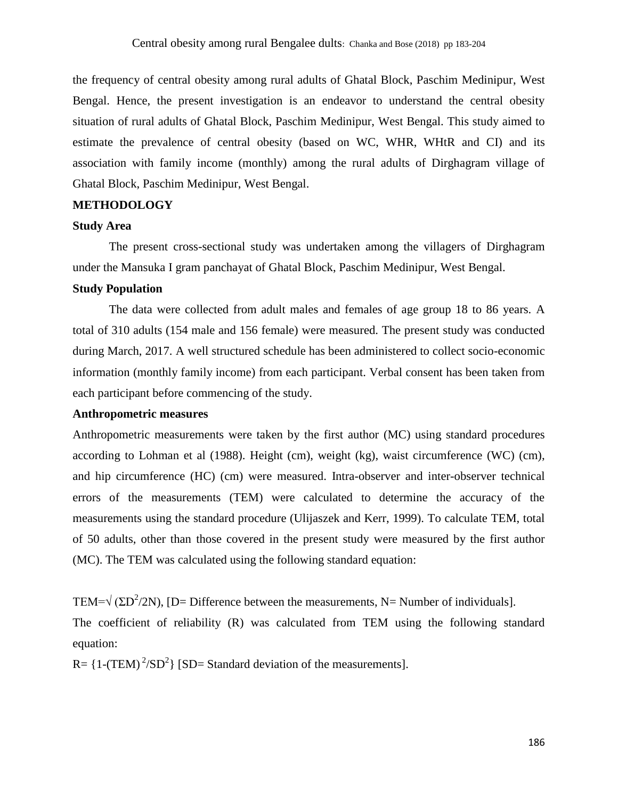the frequency of central obesity among rural adults of Ghatal Block, Paschim Medinipur, West Bengal. Hence, the present investigation is an endeavor to understand the central obesity situation of rural adults of Ghatal Block, Paschim Medinipur, West Bengal. This study aimed to estimate the prevalence of central obesity (based on WC, WHR, WHtR and CI) and its association with family income (monthly) among the rural adults of Dirghagram village of Ghatal Block, Paschim Medinipur, West Bengal.

## **METHODOLOGY**

#### **Study Area**

The present cross-sectional study was undertaken among the villagers of Dirghagram under the Mansuka I gram panchayat of Ghatal Block, Paschim Medinipur, West Bengal.

## **Study Population**

The data were collected from adult males and females of age group 18 to 86 years. A total of 310 adults (154 male and 156 female) were measured. The present study was conducted during March, 2017. A well structured schedule has been administered to collect socio-economic information (monthly family income) from each participant. Verbal consent has been taken from each participant before commencing of the study.

#### **Anthropometric measures**

Anthropometric measurements were taken by the first author (MC) using standard procedures according to Lohman et al (1988). Height (cm), weight (kg), waist circumference (WC) (cm), and hip circumference (HC) (cm) were measured. Intra-observer and inter-observer technical errors of the measurements (TEM) were calculated to determine the accuracy of the measurements using the standard procedure (Ulijaszek and Kerr, 1999). To calculate TEM, total of 50 adults, other than those covered in the present study were measured by the first author (MC). The TEM was calculated using the following standard equation:

TEM= $\sqrt{(2D^2/2N)}$ , [D= Difference between the measurements, N= Number of individuals]. The coefficient of reliability (R) was calculated from TEM using the following standard equation:

 $R = {1-(TEM)^2/SD^2}$  [SD= Standard deviation of the measurements].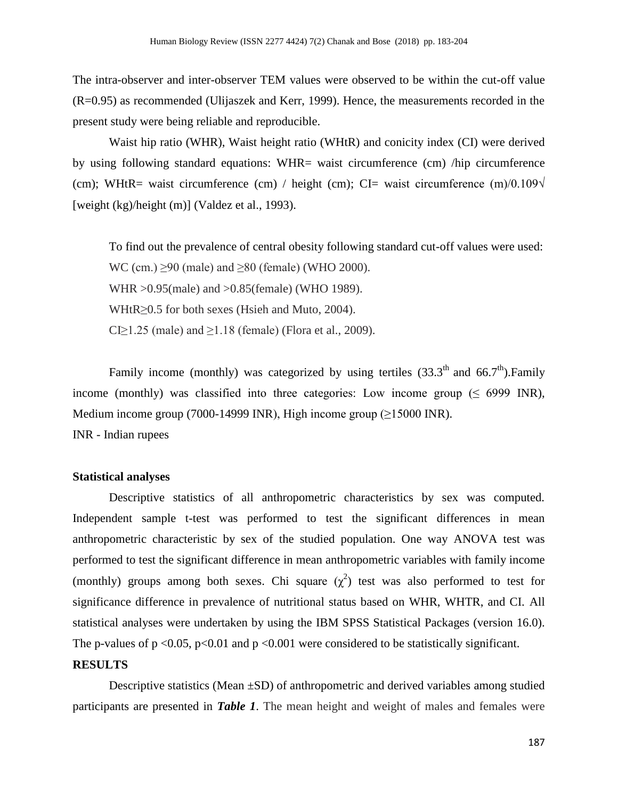The intra-observer and inter-observer TEM values were observed to be within the cut-off value (R=0.95) as recommended (Ulijaszek and Kerr, 1999). Hence, the measurements recorded in the present study were being reliable and reproducible.

Waist hip ratio (WHR), Waist height ratio (WHtR) and conicity index (CI) were derived by using following standard equations: WHR= waist circumference (cm) /hip circumference (cm); WHtR= waist circumference (cm) / height (cm); CI= waist circumference  $(m)/0.109\sqrt{m}$ [weight (kg)/height (m)] (Valdez et al., 1993).

To find out the prevalence of central obesity following standard cut-off values were used: WC (cm.)  $\geq$ 90 (male) and  $\geq$ 80 (female) (WHO 2000). WHR >0.95(male) and >0.85(female) (WHO 1989). WHtR≥0.5 for both sexes (Hsieh and Muto, 2004). CI $\geq$ 1.25 (male) and  $\geq$ 1.18 (female) (Flora et al., 2009).

Family income (monthly) was categorized by using tertiles  $(33.3<sup>th</sup>$  and  $66.7<sup>th</sup>)$ . Family income (monthly) was classified into three categories: Low income group  $(\leq 6999 \text{ INR})$ , Medium income group (7000-14999 INR), High income group (≥15000 INR). INR - Indian rupees

#### **Statistical analyses**

Descriptive statistics of all anthropometric characteristics by sex was computed. Independent sample t-test was performed to test the significant differences in mean anthropometric characteristic by sex of the studied population. One way ANOVA test was performed to test the significant difference in mean anthropometric variables with family income (monthly) groups among both sexes. Chi square  $(\chi^2)$  test was also performed to test for significance difference in prevalence of nutritional status based on WHR, WHTR, and CI. All statistical analyses were undertaken by using the IBM SPSS Statistical Packages (version 16.0). The p-values of  $p \le 0.05$ ,  $p \le 0.01$  and  $p \le 0.001$  were considered to be statistically significant.

#### **RESULTS**

Descriptive statistics (Mean  $\pm$ SD) of anthropometric and derived variables among studied participants are presented in *Table 1*. The mean height and weight of males and females were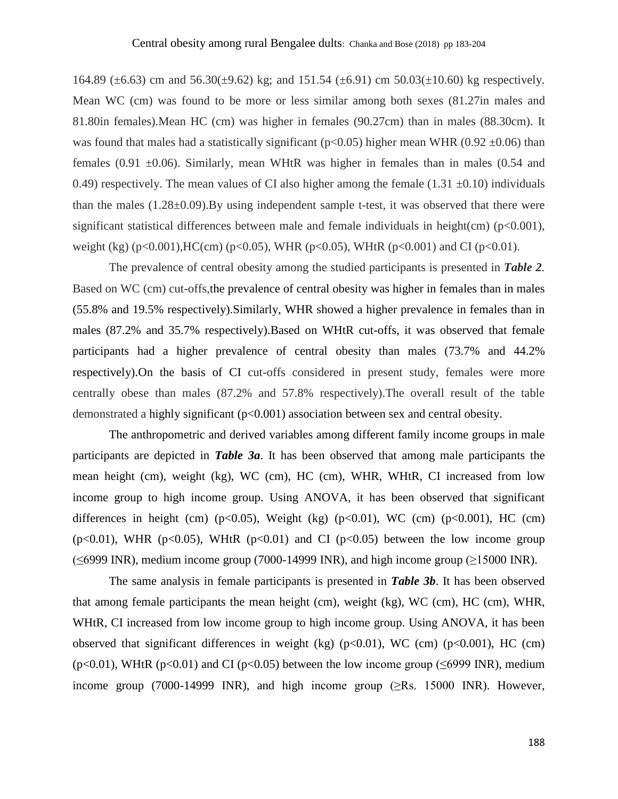164.89 ( $\pm$ 6.63) cm and 56.30( $\pm$ 9.62) kg; and 151.54 ( $\pm$ 6.91) cm 50.03( $\pm$ 10.60) kg respectively. Mean WC (cm) was found to be more or less similar among both sexes (81.27in males and 81.80in females).Mean HC (cm) was higher in females (90.27cm) than in males (88.30cm). It was found that males had a statistically significant ( $p<0.05$ ) higher mean WHR (0.92  $\pm$ 0.06) than females (0.91  $\pm$ 0.06). Similarly, mean WHtR was higher in females than in males (0.54 and 0.49) respectively. The mean values of CI also higher among the female  $(1.31 \pm 0.10)$  individuals than the males (1.28±0.09).By using independent sample t-test, it was observed that there were significant statistical differences between male and female individuals in height(cm)  $(p<0.001)$ , weight (kg) (p<0.001), HC(cm) (p<0.05), WHR (p<0.05), WHtR (p<0.001) and CI (p<0.01).

The prevalence of central obesity among the studied participants is presented in *Table 2.* Based on WC (cm) cut-offs,the prevalence of central obesity was higher in females than in males (55.8% and 19.5% respectively).Similarly, WHR showed a higher prevalence in females than in males (87.2% and 35.7% respectively).Based on WHtR cut-offs, it was observed that female participants had a higher prevalence of central obesity than males (73.7% and 44.2% respectively).On the basis of CI cut-offs considered in present study, females were more centrally obese than males (87.2% and 57.8% respectively).The overall result of the table demonstrated a highly significant (p<0.001) association between sex and central obesity.

The anthropometric and derived variables among different family income groups in male participants are depicted in *Table 3a*. It has been observed that among male participants the mean height (cm), weight (kg), WC (cm), HC (cm), WHR, WHtR, CI increased from low income group to high income group. Using ANOVA, it has been observed that significant differences in height (cm)  $(p<0.05)$ , Weight (kg)  $(p<0.01)$ , WC (cm)  $(p<0.001)$ , HC (cm) ( $p<0.01$ ), WHR ( $p<0.05$ ), WHtR ( $p<0.01$ ) and CI ( $p<0.05$ ) between the low income group ( $\leq$ 6999 INR), medium income group (7000-14999 INR), and high income group ( $\geq$ 15000 INR).

The same analysis in female participants is presented in *Table 3b*. It has been observed that among female participants the mean height (cm), weight (kg), WC (cm), HC (cm), WHR, WHtR, CI increased from low income group to high income group. Using ANOVA, it has been observed that significant differences in weight (kg) (p<0.01), WC (cm) (p<0.001), HC (cm) ( $p<0.01$ ), WHtR ( $p<0.01$ ) and CI ( $p<0.05$ ) between the low income group ( $\leq 6999$  INR), medium income group (7000-14999 INR), and high income group ( $\ge$ Rs. 15000 INR). However,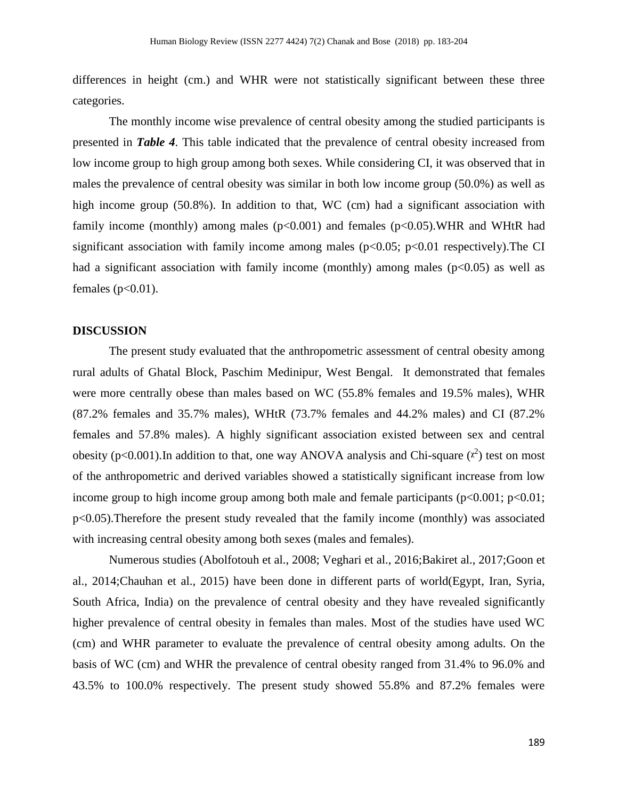differences in height (cm.) and WHR were not statistically significant between these three categories.

The monthly income wise prevalence of central obesity among the studied participants is presented in *Table 4*. This table indicated that the prevalence of central obesity increased from low income group to high group among both sexes. While considering CI, it was observed that in males the prevalence of central obesity was similar in both low income group (50.0%) as well as high income group (50.8%). In addition to that, WC (cm) had a significant association with family income (monthly) among males ( $p<0.001$ ) and females ( $p<0.05$ ).WHR and WHtR had significant association with family income among males ( $p<0.05$ ;  $p<0.01$  respectively). The CI had a significant association with family income (monthly) among males  $(p<0.05)$  as well as females  $(p<0.01)$ .

#### **DISCUSSION**

The present study evaluated that the anthropometric assessment of central obesity among rural adults of Ghatal Block, Paschim Medinipur, West Bengal. It demonstrated that females were more centrally obese than males based on WC (55.8% females and 19.5% males), WHR (87.2% females and 35.7% males), WHtR (73.7% females and 44.2% males) and CI (87.2% females and 57.8% males). A highly significant association existed between sex and central obesity ( $p < 0.001$ ). In addition to that, one way ANOVA analysis and Chi-square  $(x^2)$  test on most of the anthropometric and derived variables showed a statistically significant increase from low income group to high income group among both male and female participants  $(p<0.001; p<0.01;$ p<0.05).Therefore the present study revealed that the family income (monthly) was associated with increasing central obesity among both sexes (males and females).

Numerous studies (Abolfotouh et al., 2008; Veghari et al., 2016;Bakiret al., 2017;Goon et al., 2014;Chauhan et al., 2015) have been done in different parts of world(Egypt, Iran, Syria, South Africa, India) on the prevalence of central obesity and they have revealed significantly higher prevalence of central obesity in females than males. Most of the studies have used WC (cm) and WHR parameter to evaluate the prevalence of central obesity among adults. On the basis of WC (cm) and WHR the prevalence of central obesity ranged from 31.4% to 96.0% and 43.5% to 100.0% respectively. The present study showed 55.8% and 87.2% females were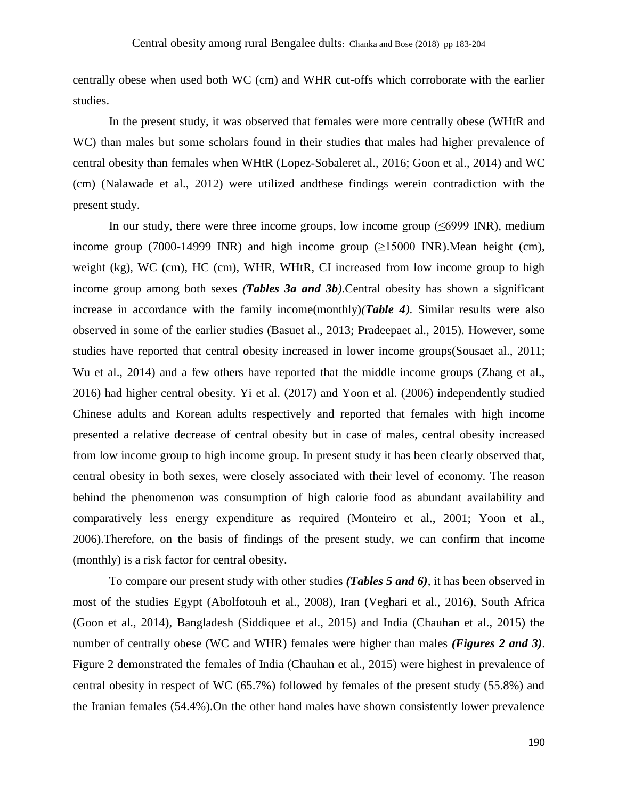centrally obese when used both WC (cm) and WHR cut-offs which corroborate with the earlier studies.

In the present study, it was observed that females were more centrally obese (WHtR and WC) than males but some scholars found in their studies that males had higher prevalence of central obesity than females when WHtR (Lopez-Sobaleret al., 2016; Goon et al., 2014) and WC (cm) (Nalawade et al., 2012) were utilized andthese findings werein contradiction with the present study.

In our study, there were three income groups, low income group ( $\leq 6999$  INR), medium income group (7000-14999 INR) and high income group  $(\geq 15000 \text{ INR})$ . Mean height (cm), weight (kg), WC (cm), HC (cm), WHR, WHtR, CI increased from low income group to high income group among both sexes *(Tables 3a and 3b)*.Central obesity has shown a significant increase in accordance with the family income(monthly)*(Table 4)*. Similar results were also observed in some of the earlier studies (Basuet al., 2013; Pradeepaet al., 2015). However, some studies have reported that central obesity increased in lower income groups(Sousaet al., 2011; Wu et al., 2014) and a few others have reported that the middle income groups (Zhang et al., 2016) had higher central obesity. Yi et al. (2017) and Yoon et al. (2006) independently studied Chinese adults and Korean adults respectively and reported that females with high income presented a relative decrease of central obesity but in case of males, central obesity increased from low income group to high income group. In present study it has been clearly observed that, central obesity in both sexes, were closely associated with their level of economy. The reason behind the phenomenon was consumption of high calorie food as abundant availability and comparatively less energy expenditure as required (Monteiro et al., 2001; Yoon et al., 2006).Therefore, on the basis of findings of the present study, we can confirm that income (monthly) is a risk factor for central obesity.

To compare our present study with other studies *(Tables 5 and 6)*, it has been observed in most of the studies Egypt (Abolfotouh et al., 2008), Iran (Veghari et al., 2016), South Africa (Goon et al., 2014), Bangladesh (Siddiquee et al., 2015) and India (Chauhan et al., 2015) the number of centrally obese (WC and WHR) females were higher than males *(Figures 2 and 3)*. Figure 2 demonstrated the females of India (Chauhan et al., 2015) were highest in prevalence of central obesity in respect of WC (65.7%) followed by females of the present study (55.8%) and the Iranian females (54.4%).On the other hand males have shown consistently lower prevalence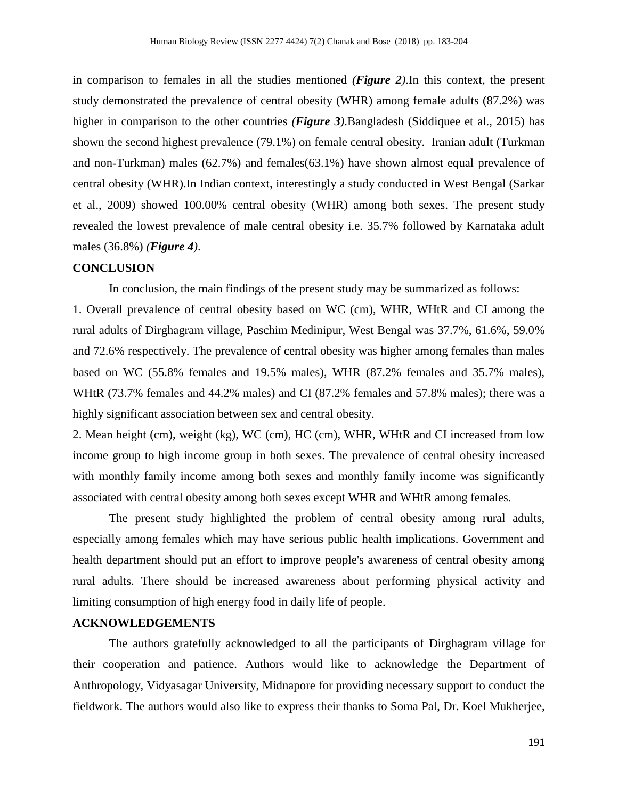in comparison to females in all the studies mentioned *(Figure 2)*.In this context, the present study demonstrated the prevalence of central obesity (WHR) among female adults (87.2%) was higher in comparison to the other countries *(Figure 3)*.Bangladesh (Siddiquee et al., 2015) has shown the second highest prevalence (79.1%) on female central obesity. Iranian adult (Turkman and non-Turkman) males (62.7%) and females(63.1%) have shown almost equal prevalence of central obesity (WHR).In Indian context, interestingly a study conducted in West Bengal (Sarkar et al., 2009) showed 100.00% central obesity (WHR) among both sexes. The present study revealed the lowest prevalence of male central obesity i.e. 35.7% followed by Karnataka adult males (36.8%) *(Figure 4)*.

#### **CONCLUSION**

In conclusion, the main findings of the present study may be summarized as follows:

1. Overall prevalence of central obesity based on WC (cm), WHR, WHtR and CI among the rural adults of Dirghagram village, Paschim Medinipur, West Bengal was 37.7%, 61.6%, 59.0% and 72.6% respectively. The prevalence of central obesity was higher among females than males based on WC (55.8% females and 19.5% males), WHR (87.2% females and 35.7% males), WHtR (73.7% females and 44.2% males) and CI (87.2% females and 57.8% males); there was a highly significant association between sex and central obesity.

2. Mean height (cm), weight (kg), WC (cm), HC (cm), WHR, WHtR and CI increased from low income group to high income group in both sexes. The prevalence of central obesity increased with monthly family income among both sexes and monthly family income was significantly associated with central obesity among both sexes except WHR and WHtR among females.

The present study highlighted the problem of central obesity among rural adults, especially among females which may have serious public health implications. Government and health department should put an effort to improve people's awareness of central obesity among rural adults. There should be increased awareness about performing physical activity and limiting consumption of high energy food in daily life of people.

## **ACKNOWLEDGEMENTS**

The authors gratefully acknowledged to all the participants of Dirghagram village for their cooperation and patience. Authors would like to acknowledge the Department of Anthropology, Vidyasagar University, Midnapore for providing necessary support to conduct the fieldwork. The authors would also like to express their thanks to Soma Pal, Dr. Koel Mukherjee,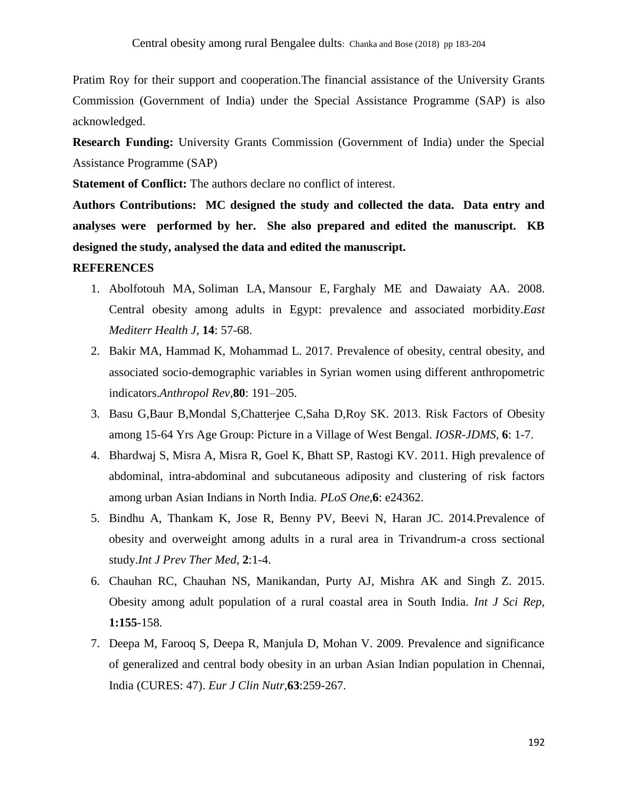Pratim Roy for their support and cooperation.The financial assistance of the University Grants Commission (Government of India) under the Special Assistance Programme (SAP) is also acknowledged.

**Research Funding:** University Grants Commission (Government of India) under the Special Assistance Programme (SAP)

**Statement of Conflict:** The authors declare no conflict of interest.

**Authors Contributions: MC designed the study and collected the data. Data entry and analyses were performed by her. She also prepared and edited the manuscript. KB designed the study, analysed the data and edited the manuscript.**

## **REFERENCES**

- 1. Abolfotouh MA, [Soliman](https://www.ncbi.nlm.nih.gov/pubmed/?term=Soliman%20LA%5BAuthor%5D&cauthor=true&cauthor_uid=18557452) LA, [Mansour](https://www.ncbi.nlm.nih.gov/pubmed/?term=Mansour%20E%5BAuthor%5D&cauthor=true&cauthor_uid=18557452) E, [Farghaly ME and Dawaiaty AA.](https://www.ncbi.nlm.nih.gov/pubmed/?term=Farghaly%20M%5BAuthor%5D&cauthor=true&cauthor_uid=18557452) 2008. Central obesity among adults in Egypt: prevalence and associated morbidity.*East Mediterr Health J*, **14**: 57-68.
- 2. Bakir MA, Hammad K, Mohammad L. 2017. Prevalence of obesity, central obesity, and associated socio-demographic variables in Syrian women using different anthropometric indicators.*Anthropol Rev*,**80**: 191–205.
- 3. Basu G,Baur B,Mondal S,Chatterjee C,Saha D,Roy SK. 2013. Risk Factors of Obesity among 15-64 Yrs Age Group: Picture in a Village of West Bengal. *IOSR-JDMS*, **6**: 1-7.
- 4. Bhardwaj S, Misra A, Misra R, Goel K, Bhatt SP, Rastogi KV. 2011. High prevalence of abdominal, intra-abdominal and subcutaneous adiposity and clustering of risk factors among urban Asian Indians in North India. *PLoS One*,**6**: e24362.
- 5. Bindhu A, Thankam K, Jose R, Benny PV, Beevi N, Haran JC. 2014.Prevalence of obesity and overweight among adults in a rural area in Trivandrum-a cross sectional study.*Int J Prev Ther Med*, **2**:1-4.
- 6. Chauhan RC, Chauhan NS, Manikandan, Purty AJ, Mishra AK and Singh Z. 2015. Obesity among adult population of a rural coastal area in South India. *Int J Sci Rep*, **1:155**-158.
- 7. Deepa M, Farooq S, Deepa R, Manjula D, Mohan V. 2009. Prevalence and significance of generalized and central body obesity in an urban Asian Indian population in Chennai, India (CURES: 47). *Eur J Clin Nutr,***63**:259-267.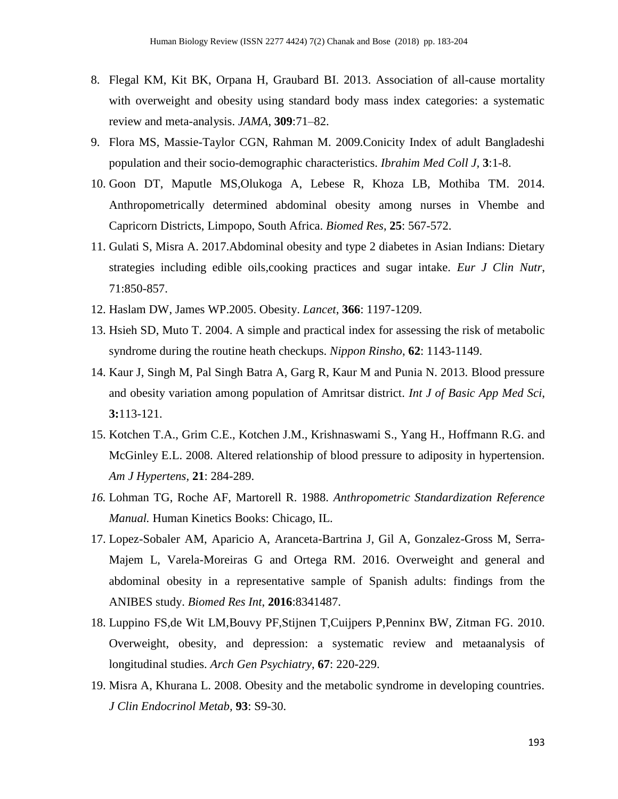- 8. Flegal KM, Kit BK, Orpana H, Graubard BI. 2013. Association of all-cause mortality with overweight and obesity using standard body mass index categories: a systematic review and meta-analysis. *JAMA*, **309**:71–82.
- 9. Flora MS, Massie-Taylor CGN, Rahman M. 2009.Conicity Index of adult Bangladeshi population and their socio-demographic characteristics. *Ibrahim Med Coll J,* **3**:1-8.
- 10. Goon DT, Maputle MS,Olukoga A, Lebese R, Khoza LB, Mothiba TM. 2014. Anthropometrically determined abdominal obesity among nurses in Vhembe and Capricorn Districts, Limpopo, South Africa. *Biomed Res*, **25**: 567-572.
- 11. Gulati S, Misra A. 2017.Abdominal obesity and type 2 diabetes in Asian Indians: Dietary strategies including edible oils,cooking practices and sugar intake. *Eur J Clin Nutr*, 71:850-857.
- 12. Haslam DW, James WP.2005. Obesity. *Lancet*, **366**: 1197-1209.
- 13. Hsieh SD, Muto T. 2004. A simple and practical index for assessing the risk of metabolic syndrome during the routine heath checkups. *Nippon Rinsho*, **62**: 1143-1149.
- 14. Kaur J, Singh M, Pal Singh Batra A, Garg R, Kaur M and Punia N. 2013. Blood pressure and obesity variation among population of Amritsar district. *Int J of Basic App Med Sci*, **3:**113-121.
- 15. Kotchen T.A., Grim C.E., Kotchen J.M., Krishnaswami S., Yang H., Hoffmann R.G. and McGinley E.L. 2008. Altered relationship of blood pressure to adiposity in hypertension. *Am J Hypertens,* **21**: 284-289.
- *16.* Lohman TG, Roche AF, Martorell R. 1988. *Anthropometric Standardization Reference Manual.* Human Kinetics Books: Chicago, IL.
- 17. Lopez-Sobaler AM, Aparicio A, Aranceta-Bartrina J, Gil A, Gonzalez-Gross M, Serra-Majem L, Varela-Moreiras G and Ortega RM. 2016. Overweight and general and abdominal obesity in a representative sample of Spanish adults: findings from the ANIBES study. *Biomed Res Int*, **2016**:8341487.
- 18. Luppino FS,de Wit LM,Bouvy PF,Stijnen T,Cuijpers P,Penninx BW, Zitman FG. 2010. Overweight, obesity, and depression: a systematic review and metaanalysis of longitudinal studies. *Arch Gen Psychiatry*, **67**: 220-229.
- 19. Misra A, Khurana L. 2008. Obesity and the metabolic syndrome in developing countries. *J Clin Endocrinol Metab,* **93**: S9-30.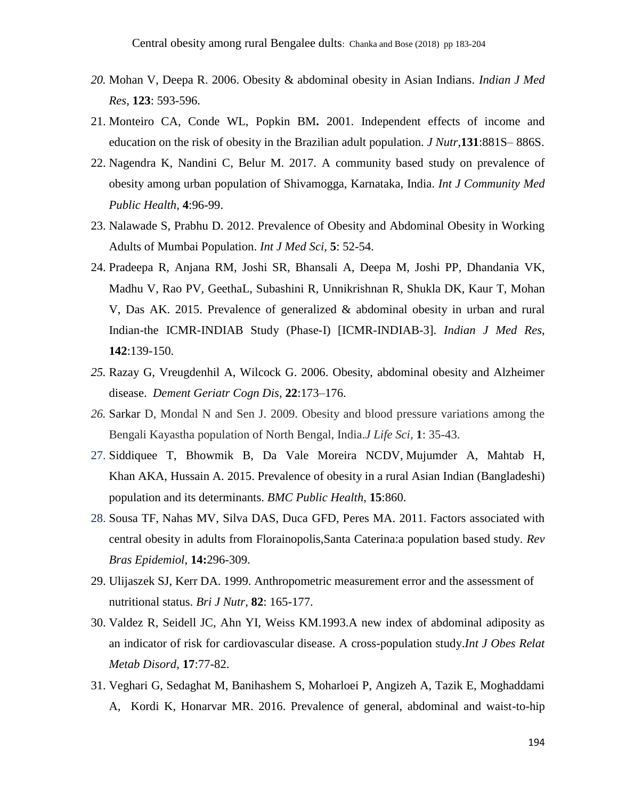- *20.* Mohan V, Deepa R. 2006. Obesity & abdominal obesity in Asian Indians. *Indian J Med Res,* **123**: 593-596.
- 21. Monteiro CA, Conde WL, Popkin BM**.** 2001. Independent effects of income and education on the risk of obesity in the Brazilian adult population. *J Nutr*,**131**:881S– 886S.
- 22. Nagendra K, Nandini C, Belur M. 2017. A community based study on prevalence of obesity among urban population of Shivamogga, Karnataka, India. *Int J Community Med Public Health,* **4**:96-99.
- 23. Nalawade S, Prabhu D. 2012. Prevalence of Obesity and Abdominal Obesity in Working Adults of Mumbai Population. *Int J Med Sci,* **5**: 52-54.
- 24. Pradeepa R, Anjana RM, Joshi SR, Bhansali A, Deepa M, Joshi PP, Dhandania VK, Madhu V, Rao PV, GeethaL, Subashini R, Unnikrishnan R, Shukla DK, Kaur T, Mohan V, Das AK. 2015. Prevalence of generalized & abdominal obesity in urban and rural Indian-the ICMR-INDIAB Study (Phase-I) [ICMR-INDIAB-3]. *Indian J Med Res*, **142**:139-150.
- *25.* Razay G, Vreugdenhil A, Wilcock G. 2006. Obesity, abdominal obesity and Alzheimer disease. *Dement Geriatr Cogn Dis,* **22**:173–176.
- *26.* Sarkar D, Mondal N and Sen J. 2009. Obesity and blood pressure variations among the Bengali Kayastha population of North Bengal, India.*J Life Sci,* **1**: 35-43.
- 27. Siddiquee T, Bhowmik B, Da Vale Moreira NCDV, Mujumder A, Mahtab H, Khan AKA, Hussain A. 2015. Prevalence of obesity in a rural Asian Indian (Bangladeshi) population and its determinants. *BMC Public Health*, **15**:860.
- 28. Sousa TF, Nahas MV, Silva DAS, Duca GFD, Peres MA. 2011. Factors associated with central obesity in adults from Florainopolis,Santa Caterina:a population based study. *Rev Bras Epidemiol*, **14:**296-309.
- 29. Ulijaszek SJ, Kerr DA. 1999. Anthropometric measurement error and the assessment of nutritional status. *Bri J Nutr*, **82**: 165-177.
- 30. Valdez R, Seidell JC, Ahn YI, Weiss KM.1993.A new index of abdominal adiposity as an indicator of risk for cardiovascular disease. A cross-population study.*Int J Obes Relat Metab Disord*, **17**:77-82.
- 31. Veghari G, Sedaghat M, Banihashem S, Moharloei P, Angizeh A, Tazik E, Moghaddami A, Kordi K, Honarvar MR. 2016. Prevalence of general, abdominal and waist-to-hip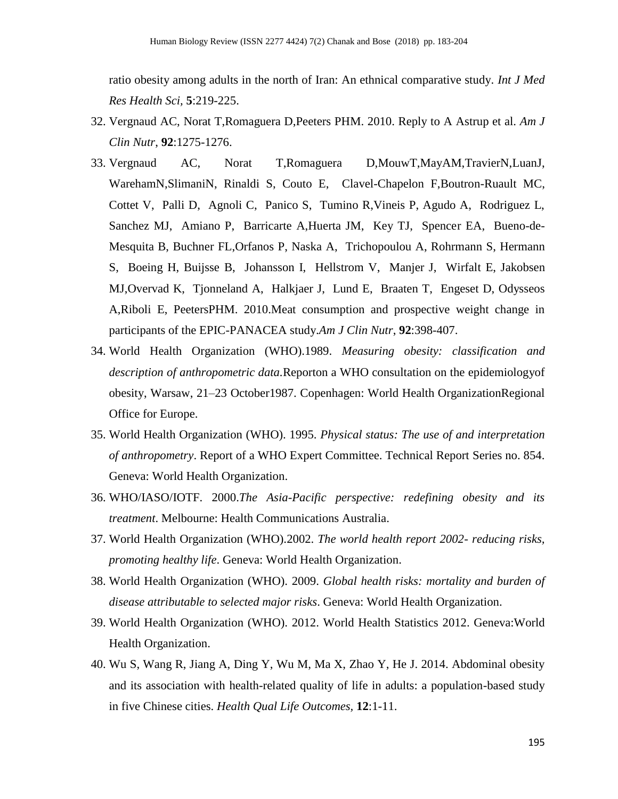ratio obesity among adults in the north of Iran: An ethnical comparative study. *Int J Med Res Health Sci,* **5**:219-225.

- 32. Vergnaud AC, Norat T,Romaguera D,Peeters PHM. 2010. Reply to A Astrup et al. *Am J Clin Nutr*, **92**:1275-1276.
- 33. Vergnaud AC, Norat T,Romaguera D,MouwT,MayAM,TravierN,LuanJ, WarehamN,SlimaniN, Rinaldi S, Couto E, Clavel-Chapelon F,Boutron-Ruault MC, Cottet V, Palli D, Agnoli C, Panico S, Tumino R,Vineis P, Agudo A, Rodriguez L, Sanchez MJ, Amiano P, Barricarte A,Huerta JM, Key TJ, Spencer EA, Bueno-de-Mesquita B, Buchner FL,Orfanos P, Naska A, Trichopoulou A, Rohrmann S, Hermann S, Boeing H, Buijsse B, Johansson I, Hellstrom V, Manjer J, Wirfalt E, Jakobsen MJ,Overvad K, Tjonneland A, Halkjaer J, Lund E, Braaten T, Engeset D, Odysseos A,Riboli E, PeetersPHM. 2010.Meat consumption and prospective weight change in participants of the EPIC-PANACEA study.*Am J Clin Nutr*, **92**:398-407.
- 34. World Health Organization (WHO).1989. *Measuring obesity: classification and description of anthropometric data.*Reporton a WHO consultation on the epidemiologyof obesity, Warsaw, 21–23 October1987. Copenhagen: World Health OrganizationRegional Office for Europe.
- 35. World Health Organization (WHO). 1995. *Physical status: The use of and interpretation of anthropometry*. Report of a WHO Expert Committee. Technical Report Series no. 854. Geneva: World Health Organization.
- 36. WHO/IASO/IOTF. 2000.*The Asia-Pacific perspective: redefining obesity and its treatment*. Melbourne: Health Communications Australia.
- 37. World Health Organization (WHO).2002. *The world health report 2002- reducing risks, promoting healthy life*. Geneva: World Health Organization.
- 38. World Health Organization (WHO). 2009. *Global health risks: mortality and burden of disease attributable to selected major risks*. Geneva: World Health Organization.
- 39. World Health Organization (WHO). 2012. World Health Statistics 2012. Geneva:World Health Organization.
- 40. Wu S, Wang R, Jiang A, Ding Y, Wu M, Ma X, Zhao Y, He J. 2014. Abdominal obesity and its association with health-related quality of life in adults: a population-based study in five Chinese cities. *Health Qual Life Outcomes,* **12**:1-11.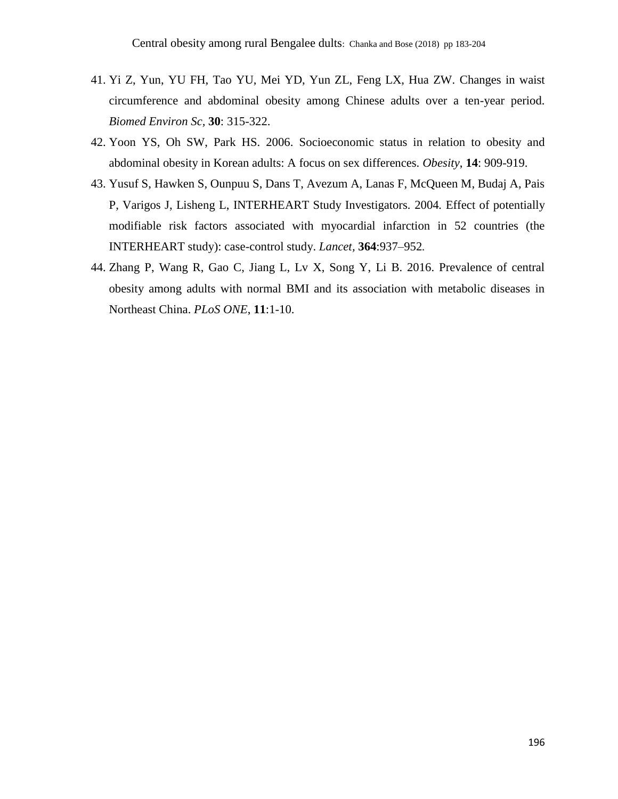- 41. Yi Z, Yun, YU FH, Tao YU, Mei YD, Yun ZL, Feng LX, Hua ZW. Changes in waist circumference and abdominal obesity among Chinese adults over a ten-year period. *Biomed Environ Sc,* **30**: 315-322.
- 42. Yoon YS, Oh SW, Park HS. 2006. Socioeconomic status in relation to obesity and abdominal obesity in Korean adults: A focus on sex differences. *Obesity*, **14**: 909-919.
- 43. Yusuf S, Hawken S, Ounpuu S, Dans T, Avezum A, Lanas F, McQueen M, Budaj A, Pais P, Varigos J, Lisheng L, INTERHEART Study Investigators*.* 2004*.* Effect of potentially modifiable risk factors associated with myocardial infarction in 52 countries (the INTERHEART study): case-control study. *[Lancet,](https://en.wikipedia.org/wiki/The_Lancet)* **364**:937–952*.*
- 44. Zhang P, Wang R, Gao C, Jiang L, Lv X, Song Y, Li B. 2016. Prevalence of central obesity among adults with normal BMI and its association with metabolic diseases in Northeast China. *PLoS ONE*, **11**:1-10.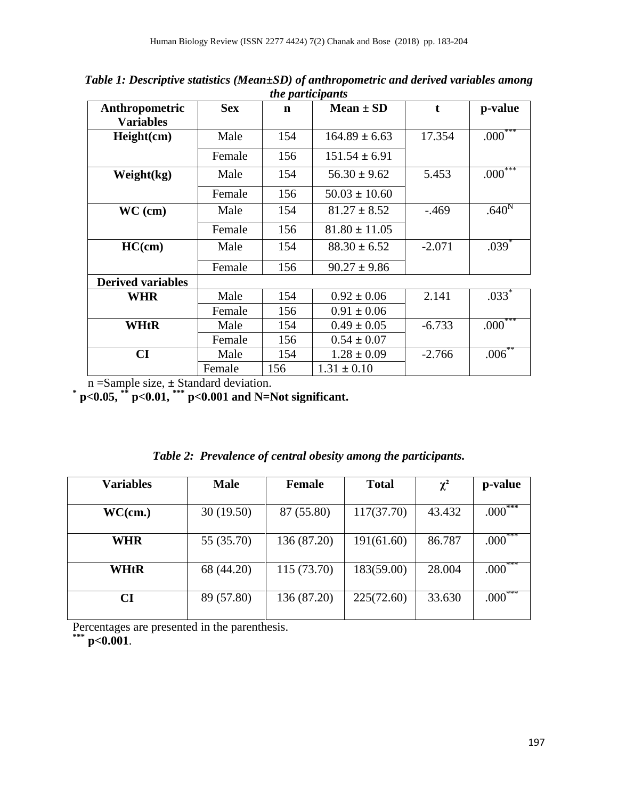| Anthropometric           | <b>Sex</b> | $\mathbf n$ | $Mean \pm SD$     |          | p-value           |
|--------------------------|------------|-------------|-------------------|----------|-------------------|
| <b>Variables</b>         |            |             |                   |          |                   |
| Height(cm)               | Male       | 154         | $164.89 \pm 6.63$ | 17.354   | $.000***$         |
|                          | Female     | 156         | $151.54 \pm 6.91$ |          |                   |
| Weight(kg)               | Male       | 154         | $56.30 \pm 9.62$  | 5.453    | $.000***$         |
|                          | Female     | 156         | $50.03 \pm 10.60$ |          |                   |
| $WC$ (cm)                | Male       | 154         | $81.27 \pm 8.52$  | $-.469$  | .640 <sup>N</sup> |
|                          | Female     | 156         | $81.80 \pm 11.05$ |          |                   |
| HC(cm)                   | Male       | 154         | $88.30 \pm 6.52$  | $-2.071$ | $.039*$           |
|                          | Female     | 156         | $90.27 \pm 9.86$  |          |                   |
| <b>Derived variables</b> |            |             |                   |          |                   |
| WHR                      | Male       | 154         | $0.92 \pm 0.06$   | 2.141    | $.033*$           |
|                          | Female     | 156         | $0.91 \pm 0.06$   |          |                   |
| WHtR                     | Male       | 154         | $0.49 \pm 0.05$   | $-6.733$ | $.000***$         |
|                          | Female     | 156         | $0.54 \pm 0.07$   |          |                   |
| $\mathbf{C}\mathbf{I}$   | Male       | 154         | $1.28 \pm 0.09$   | $-2.766$ | $.006***$         |
|                          | Female     | 156         | $1.31 \pm 0.10$   |          |                   |

*Table 1: Descriptive statistics (Mean±SD) of anthropometric and derived variables among the participants*

n =Sample size, **±** Standard deviation. **\* p<0.05, \*\* p<0.01, \*\*\* p<0.001 and N=Not significant.**

| <b>Variables</b> | <b>Male</b> | <b>Female</b> | <b>Total</b> | $\chi^2$ | p-value                 |
|------------------|-------------|---------------|--------------|----------|-------------------------|
| WC(cm.)          | 30(19.50)   | 87 (55.80)    | 117(37.70)   | 43.432   | .000                    |
| <b>WHR</b>       | 55 (35.70)  | 136 (87.20)   | 191(61.60)   | 86.787   | $.000***$               |
| WHtR             | 68 (44.20)  | 115 (73.70)   | 183(59.00)   | 28.004   | $.000\mathrm{^{\circ}}$ |
| <b>CI</b>        | 89 (57.80)  | 136 (87.20)   | 225(72.60)   | 33.630   | .000                    |

| Table 2: Prevalence of central obesity among the participants. |  |  |  |  |  |  |
|----------------------------------------------------------------|--|--|--|--|--|--|
|----------------------------------------------------------------|--|--|--|--|--|--|

Percentages are presented in the parenthesis.

**\*\*\* p<0.001**.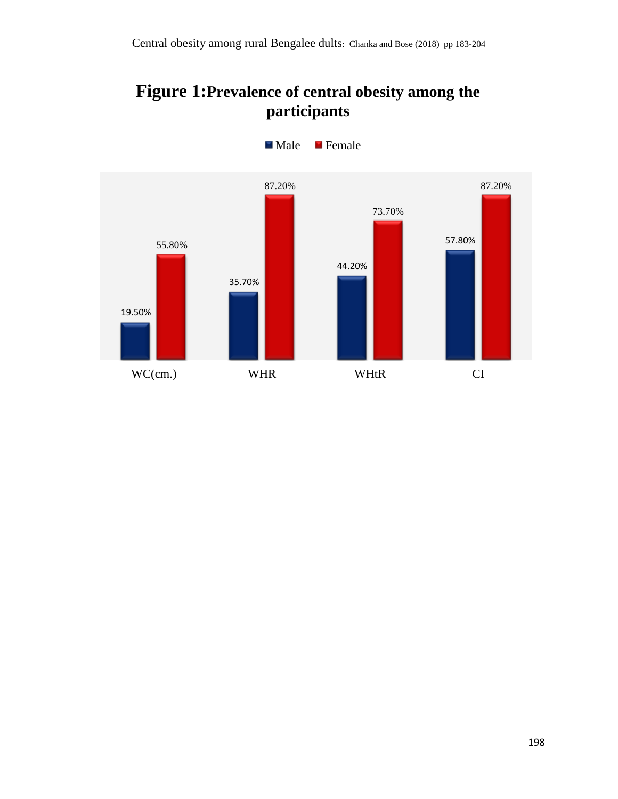# **Figure 1:Prevalence of central obesity among the participants**



**Male** Female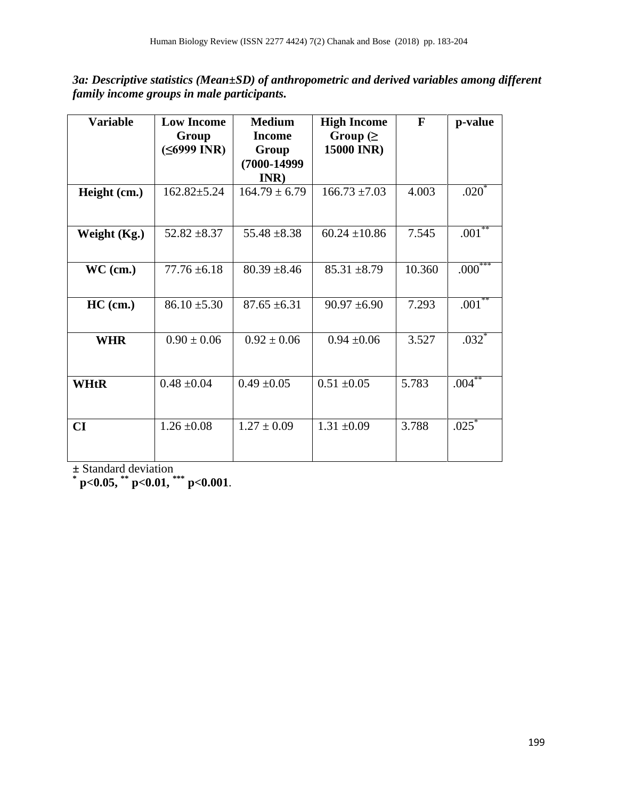*3a: Descriptive statistics (Mean±SD) of anthropometric and derived variables among different family income groups in male participants.*

| <b>Variable</b> | <b>Low Income</b>      | <b>Medium</b>                                      | <b>High Income</b>           | $\mathbf{F}$ | p-value     |
|-----------------|------------------------|----------------------------------------------------|------------------------------|--------------|-------------|
|                 | Group<br>$(56999$ INR) | <b>Income</b><br>Group<br>$(7000 - 14999)$<br>INR) | Group $( \geq$<br>15000 INR) |              |             |
| Height (cm.)    | $162.82 \pm 5.24$      | $164.79 \pm 6.79$                                  | $166.73 \pm 7.03$            | 4.003        | .020        |
| Weight (Kg.)    | $52.82 \pm 8.37$       | $55.48 \pm 8.38$                                   | $60.24 \pm 10.86$            | 7.545        | $.001^{**}$ |
| $WC$ (cm.)      | $77.76 \pm 6.18$       | $80.39 \pm 8.46$                                   | $85.31 \pm 8.79$             | 10.360       | $.000^{**}$ |
| $HC$ (cm.)      | $86.10 \pm 5.30$       | $87.65 \pm 6.31$                                   | $90.97 \pm 6.90$             | 7.293        | $.001^{**}$ |
| <b>WHR</b>      | $0.90 \pm 0.06$        | $0.92 \pm 0.06$                                    | $0.94 \pm 0.06$              | 3.527        | $.032*$     |
| <b>WHtR</b>     | $0.48 \pm 0.04$        | $0.49 \pm 0.05$                                    | $0.51 \pm 0.05$              | 5.783        | $.004***$   |
| CI              | $1.26 \pm 0.08$        | $1.27 \pm 0.09$                                    | $1.31 \pm 0.09$              | 3.788        | $.025*$     |

**±** Standard deviation **\* p<0.05, \*\* p<0.01, \*\*\* p<0.001**.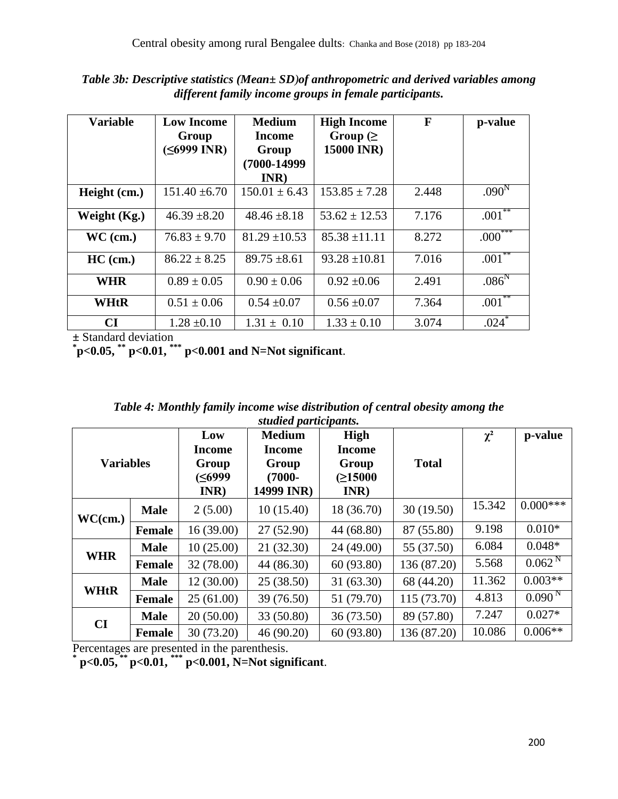| Table 3b: Descriptive statistics (Mean± SD) of anthropometric and derived variables among |
|-------------------------------------------------------------------------------------------|
| different family income groups in female participants.                                    |

| <b>Variable</b> | <b>Low Income</b><br>Group<br>(≤6999 INR) | <b>Medium</b><br>Income<br>Group<br>$(7000 - 14999)$ | <b>High Income</b><br>Group $($<br><b>15000 INR)</b><br>INR) |       | p-value           |
|-----------------|-------------------------------------------|------------------------------------------------------|--------------------------------------------------------------|-------|-------------------|
| Height (cm.)    | $151.40 \pm 6.70$                         | $150.01 \pm 6.43$                                    | $153.85 \pm 7.28$                                            | 2.448 | .090 <sup>N</sup> |
| Weight $(Kg.)$  | $46.39 \pm 8.20$                          | $48.46 \pm 8.18$                                     | $53.62 \pm 12.53$                                            | 7.176 | $.001***$         |
| $WC$ (cm.)      | $76.83 \pm 9.70$                          | $81.29 \pm 10.53$                                    | $85.38 \pm 11.11$                                            | 8.272 | $.000^{***}$      |
| $HC$ (cm.)      | $86.22 \pm 8.25$                          | $89.75 \pm 8.61$                                     | $93.28 \pm 10.81$                                            | 7.016 | $.001***$         |
| <b>WHR</b>      | $0.89 \pm 0.05$                           | $0.90 \pm 0.06$                                      | $0.92 \pm 0.06$                                              | 2.491 | .086 <sup>N</sup> |
| WHtR            | $0.51 \pm 0.06$                           | $0.54 \pm 0.07$                                      | $0.56 \pm 0.07$                                              | 7.364 | .001              |
| <b>CI</b>       | $1.28 \pm 0.10$                           | $1.31 \pm 0.10$                                      | $1.33 \pm 0.10$                                              | 3.074 | $.024*$           |

| <b>WHtR</b>              | $0.51 \pm 0.06$<br>$0.54 \pm 0.07$<br>$0.56 \pm 0.07$ |                                                 |                                                                    | 7.364                                                                         | $.001$ $\degree$ |          |             |
|--------------------------|-------------------------------------------------------|-------------------------------------------------|--------------------------------------------------------------------|-------------------------------------------------------------------------------|------------------|----------|-------------|
| CI                       |                                                       | $1.28 \pm 0.10$                                 | $1.31 \pm 0.10$                                                    | $1.33 \pm 0.10$                                                               | 3.074            | $.024*$  |             |
| $\pm$ Standard deviation |                                                       |                                                 | $p$ = 0.05, ** p = 0.01, *** p = 0.001 and N = Not significant.    |                                                                               |                  |          |             |
|                          |                                                       |                                                 | studied participants.                                              | Table 4: Monthly family income wise distribution of central obesity among the |                  |          |             |
| <b>Variables</b>         |                                                       | Low<br><b>Income</b><br>Group<br>(≤6999<br>INR) | <b>Medium</b><br><b>Income</b><br>Group<br>$(7000 -$<br>14999 INR) | High<br><b>Income</b><br>Group<br>(≥15000<br>INR)                             | <b>Total</b>     | $\chi^2$ | p-value     |
| WC(cm.)                  | <b>Male</b>                                           | 2(5.00)                                         | 10(15.40)                                                          | 18 (36.70)                                                                    | 30(19.50)        | 15.342   | $0.000***$  |
|                          | <b>Female</b>                                         | 16(39.00)                                       | 27 (52.90)                                                         | 44 (68.80)                                                                    | 87 (55.80)       | 9.198    | $0.010*$    |
|                          | <b>Male</b>                                           | 10(25.00)                                       | 21 (32.30)                                                         | 24 (49.00)                                                                    | 55 (37.50)       | 6.084    | $0.048*$    |
| <b>WHR</b>               | <b>Female</b>                                         | 32 (78.00)                                      | 44 (86.30)                                                         | 60 (93.80)                                                                    | 136 (87.20)      | 5.568    | $0.062^{N}$ |
|                          | <b>Male</b>                                           | 12(30.00)                                       | 25 (38.50)                                                         | 31 (63.30)                                                                    | 68 (44.20)       | 11.362   | $0.003**$   |
| <b>WHtR</b>              | Female                                                | 25(61.00)                                       | 39 (76.50)                                                         | 51 (79.70)                                                                    | 115(73.70)       | 4.813    | $0.090^{N}$ |
| CI                       | <b>Male</b>                                           | 20(50.00)                                       | 33 (50.80)                                                         | 36 (73.50)                                                                    | 89 (57.80)       | 7.247    | $0.027*$    |
|                          | <b>Female</b>                                         | 30 (73.20)                                      | 46 (90.20)                                                         | 60 (93.80)                                                                    | 136 (87.20)      | 10.086   | $0.006**$   |

Percentages are presented in the parenthesis.<br>  $*$  **p**<0.05,  $*$  **p**<0.01,  $*$  **p**<0.001, N=Not significant.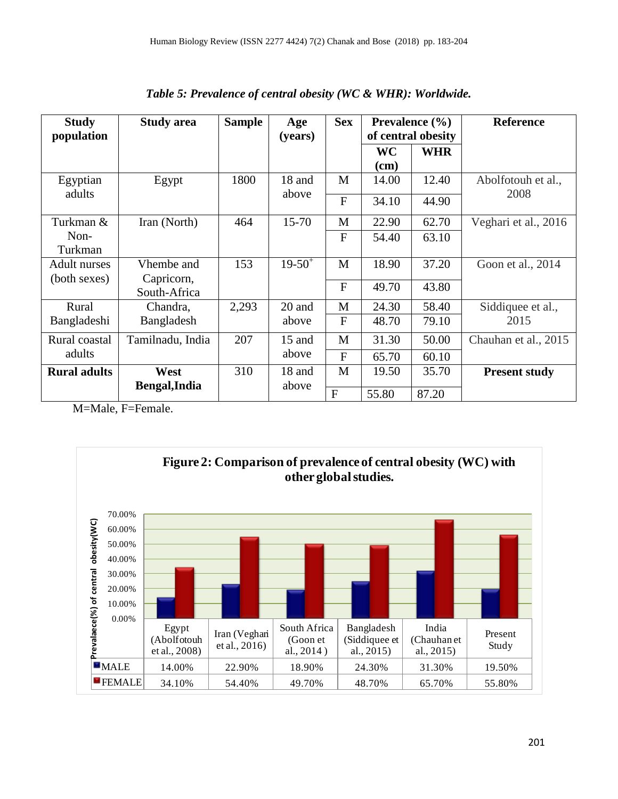| <b>Study</b><br>population | <b>Study area</b>          | <b>Sample</b> | Age       | <b>Sex</b>     | <b>Prevalence</b> $(\% )$<br>of central obesity |            | Reference            |
|----------------------------|----------------------------|---------------|-----------|----------------|-------------------------------------------------|------------|----------------------|
|                            |                            |               | (years)   |                | WC                                              | <b>WHR</b> |                      |
|                            |                            |               |           |                | (cm)                                            |            |                      |
| Egyptian                   | Egypt                      | 1800          | 18 and    | M              | 14.00                                           | 12.40      | Abolfotouh et al.,   |
| adults                     |                            |               | above     | $\overline{F}$ | 34.10                                           | 44.90      | 2008                 |
| Turkman &                  | Iran (North)               | 464           | $15 - 70$ | M              | 22.90                                           | 62.70      | Veghari et al., 2016 |
| Non-<br>Turkman            |                            |               |           | $\overline{F}$ | 54.40                                           | 63.10      |                      |
| Adult nurses               | Vhembe and                 | 153           | $19-50^+$ | M              | 18.90                                           | 37.20      | Goon et al., 2014    |
| (both sexes)               | Capricorn,<br>South-Africa |               |           | $\overline{F}$ | 49.70                                           | 43.80      |                      |
| Rural                      | Chandra,                   | 2,293         | 20 and    | M              | 24.30                                           | 58.40      | Siddiquee et al.,    |
| Bangladeshi                | Bangladesh                 |               | above     | $\overline{F}$ | 48.70                                           | 79.10      | 2015                 |
| Rural coastal              | Tamilnadu, India           | 207           | $15$ and  | M              | 31.30                                           | 50.00      | Chauhan et al., 2015 |
| adults                     |                            |               | above     | F              | 65.70                                           | 60.10      |                      |
| <b>Rural adults</b>        | West                       | 310           | 18 and    | M              | 19.50                                           | 35.70      | <b>Present study</b> |
|                            | Bengal, India              |               | above     | $\overline{F}$ | 55.80                                           | 87.20      |                      |

*Table 5: Prevalence of central obesity (WC & WHR): Worldwide.*

M=Male, F=Female.

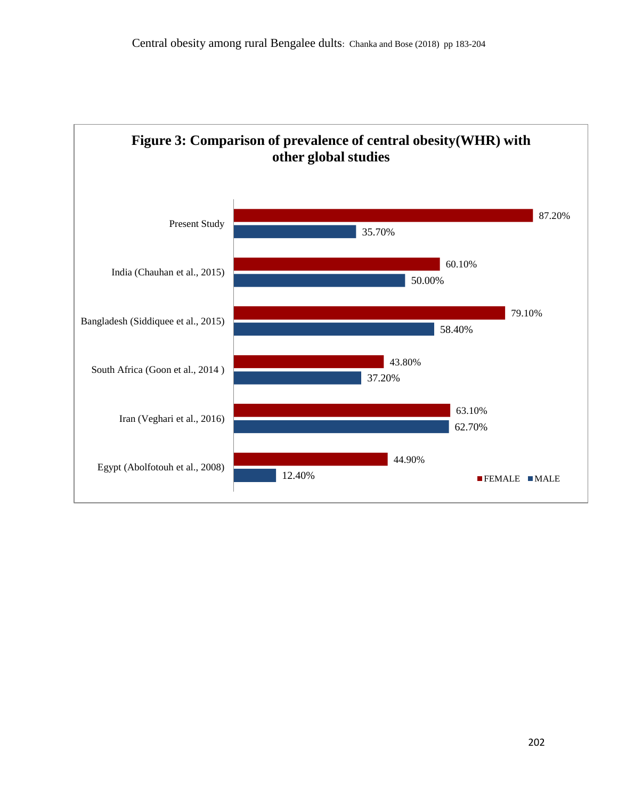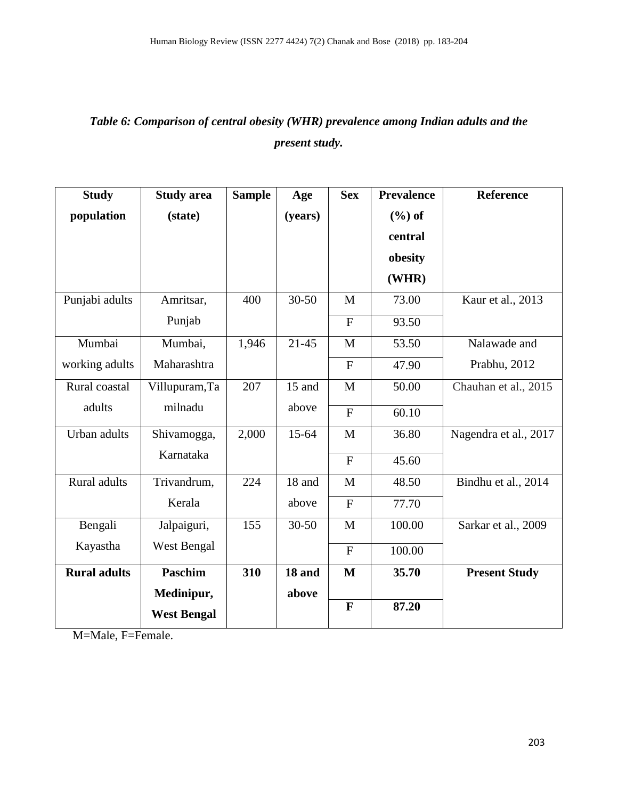## *Table 6: Comparison of central obesity (WHR) prevalence among Indian adults and the present study.*

| <b>Study</b>        | <b>Study area</b>  | <b>Sample</b> | Age       | <b>Sex</b>     | <b>Prevalence</b> | Reference             |
|---------------------|--------------------|---------------|-----------|----------------|-------------------|-----------------------|
| population          | (state)            |               | (years)   |                | $(\% )$ of        |                       |
|                     |                    |               |           |                | central           |                       |
|                     |                    |               |           |                | obesity           |                       |
|                     |                    |               |           |                | (WHR)             |                       |
| Punjabi adults      | Amritsar,          | 400           | $30 - 50$ | M              | 73.00             | Kaur et al., 2013     |
|                     | Punjab             |               |           | $\mathbf F$    | 93.50             |                       |
| Mumbai              | Mumbai,            | 1,946         | $21 - 45$ | M              | 53.50             | Nalawade and          |
| working adults      | Maharashtra        |               |           | $\mathbf{F}$   | 47.90             | Prabhu, 2012          |
| Rural coastal       | Villupuram, Ta     | 207           | 15 and    | $\mathbf{M}$   | 50.00             | Chauhan et al., 2015  |
| adults              | milnadu            |               | above     | $\mathbf F$    | 60.10             |                       |
| Urban adults        | Shivamogga,        | 2,000         | $15 - 64$ | $\mathbf{M}$   | 36.80             | Nagendra et al., 2017 |
|                     | Karnataka          |               |           | $\mathbf{F}$   | 45.60             |                       |
| Rural adults        | Trivandrum,        | 224           | 18 and    | $\mathbf{M}$   | 48.50             | Bindhu et al., 2014   |
|                     | Kerala             |               | above     | $\overline{F}$ | 77.70             |                       |
| Bengali             | Jalpaiguri,        | 155           | $30 - 50$ | M              | 100.00            | Sarkar et al., 2009   |
| Kayastha            | West Bengal        |               |           | $\mathbf{F}$   | 100.00            |                       |
| <b>Rural adults</b> | <b>Paschim</b>     | 310           | 18 and    | $\mathbf{M}$   | 35.70             | <b>Present Study</b>  |
|                     | Medinipur,         |               | above     |                |                   |                       |
|                     | <b>West Bengal</b> |               |           | $\mathbf{F}$   | 87.20             |                       |

M=Male, F=Female.